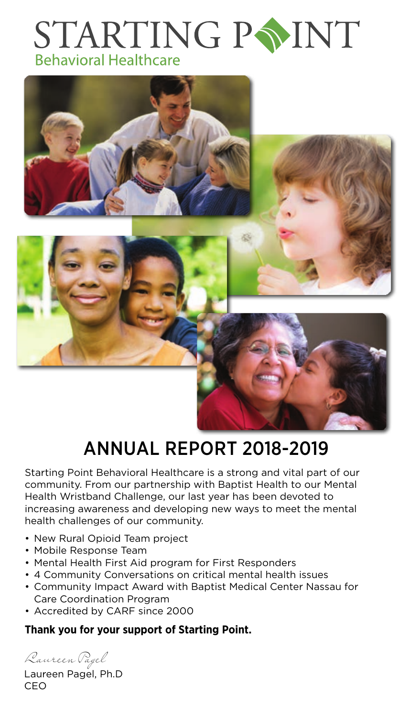## STARTING PSINT **Behavioral Healthcare**



### Annual Report 2018-2019

Starting Point Behavioral Healthcare is a strong and vital part of our community. From our partnership with Baptist Health to our Mental Health Wristband Challenge, our last year has been devoted to increasing awareness and developing new ways to meet the mental health challenges of our community.

- New Rural Opioid Team project
- Mobile Response Team
- Mental Health First Aid program for First Responders
- 4 Community Conversations on critical mental health issues
- Community Impact Award with Baptist Medical Center Nassau for Care Coordination Program
- Accredited by CARF since 2000

### **Thank you for your support of Starting Point.**

Laureen Pagel

Laureen Pagel, Ph.D **CEO**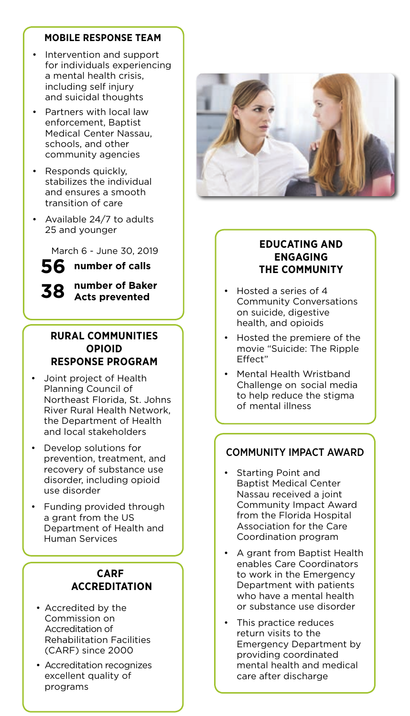#### **Mobile Response Team**

- Intervention and support for individuals experiencing a mental health crisis, including self injury and suicidal thoughts
- Partners with local law enforcement, Baptist Medical Center Nassau, schools, and other community agencies
- Responds quickly, stabilizes the individual and ensures a smooth transition of care
- Available 24/7 to adults 25 and younger

March 6 - June 30, 2019

**56 number of calls**

### **38**

**number of Baker Acts prevented**

#### **Rural Communities Opioid Response Program**

- Joint project of Health Planning Council of Northeast Florida, St. Johns River Rural Health Network, the Department of Health and local stakeholders
- **Develop solutions for** prevention, treatment, and recovery of substance use disorder, including opioid use disorder
- **Funding provided through**  a grant from the US Department of Health and Human Services

### **CARF Accreditat ion**

- • Accredited by the Commission on Accreditation of Rehabilitation Facilities (CARF) since 2000
- • Accreditation recognizes excellent quality of programs



### **Educating and Engaging the Community**

- Hosted a series of 4 Community Conversations on suicide, digestive health, and opioids
- Hosted the premiere of the movie "Suicide: The Ripple Effect"
- Mental Health Wristband Challenge on social media to help reduce the stigma of mental illness

### COMMUNITY IMPACT AWARD

- Starting Point and Baptist Medical Center Nassau received a joint Community Impact Award from the Florida Hospital Association for the Care Coordination program
- A grant from Baptist Health enables Care Coordinators to work in the Emergency Department with patients who have a mental health or substance use disorder
- This practice reduces return visits to the Emergency Department by providing coordinated mental health and medical care after discharge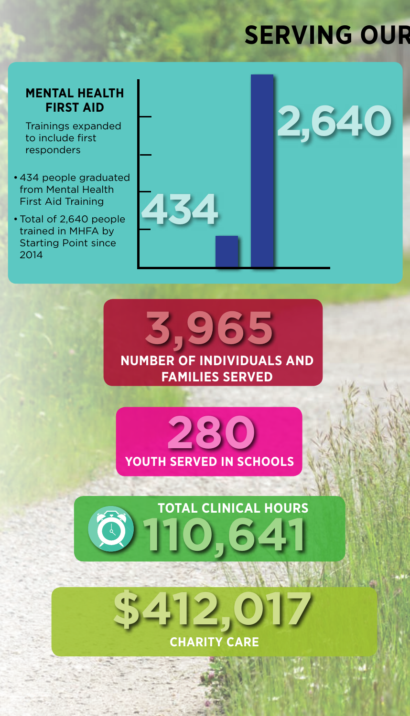## **SERVING OUR**

**2,640**

### **MENTAL HEALTH FIRST AID**

Trainings expanded to include first responders

- • 434 people graduated from Mental Health First Aid Training
- Total of 2,640 people trained in MHFA by Starting Point since 2014



**3,965 NUMBER OF individuals and families SERVED**





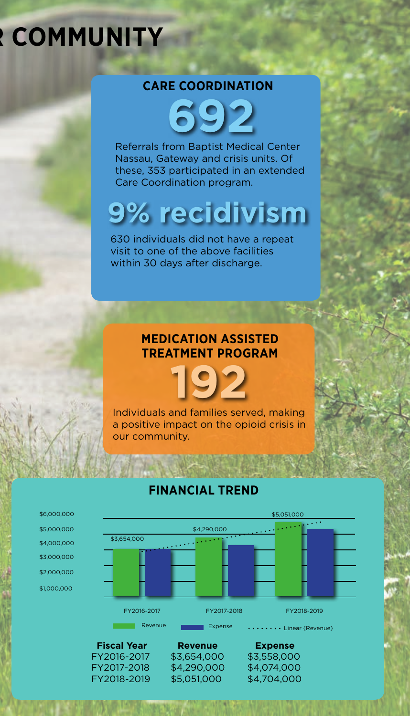# **RECOMMUNITY**

### **CARE COORDINATION**

**692**

Referrals from Baptist Medical Center Nassau, Gateway and crisis units. Of these, 353 participated in an extended Care Coordination program.

# **9% recidivism**

630 individuals did not have a repeat visit to one of the above facilities within 30 days after discharge.

### **Medication Assisted treat ment Program**

**192**

Individuals and families served, making a positive impact on the opioid crisis in our community.



### **FINANCIAL TREND**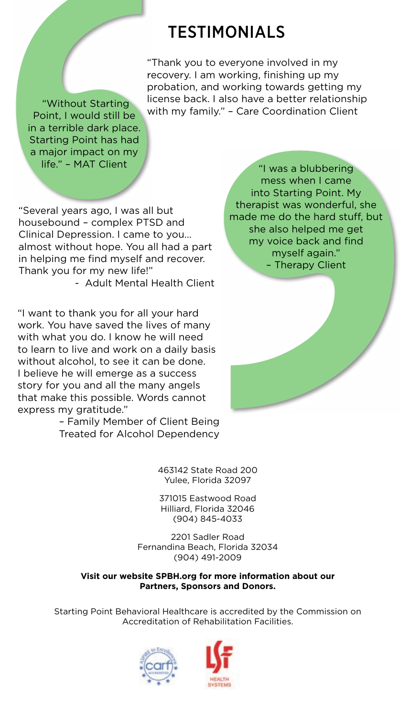### **TESTIMONIALS**

"Thank you to everyone involved in my recovery. I am working, finishing up my probation, and working towards getting my license back. I also have a better relationship Without Starting The Micense back. I also have a better relationship<br>Nich my family." – Care Coordination Client

Point, I would still be in a terrible dark place. Starting Point has had a major impact on my life." – MAT Client

"Several years ago, I was all but housebound – complex PTSD and Clinical Depression. I came to you… almost without hope. You all had a part in helping me find myself and recover. Thank you for my new life!"

- Adult Mental Health Client

"I want to thank you for all your hard work. You have saved the lives of many with what you do. I know he will need to learn to live and work on a daily basis without alcohol, to see it can be done. I believe he will emerge as a success story for you and all the many angels that make this possible. Words cannot express my gratitude."

– Family Member of Client Being Treated for Alcohol Dependency

> 463142 State Road 200 Yulee, Florida 32097

371015 Eastwood Road Hilliard, Florida 32046 (904) 845-4033

2201 Sadler Road Fernandina Beach, Florida 32034 (904) 491-2009

#### **Visit our website SPBH.org for more information about our Partners, Sponsors and Donors.**

Starting Point Behavioral Healthcare is accredited by the Commission on Accreditation of Rehabilitation Facilities.



"I was a blubbering mess when I came into Starting Point. My therapist was wonderful, she made me do the hard stuff, but she also helped me get my voice back and find myself again." – Therapy Client